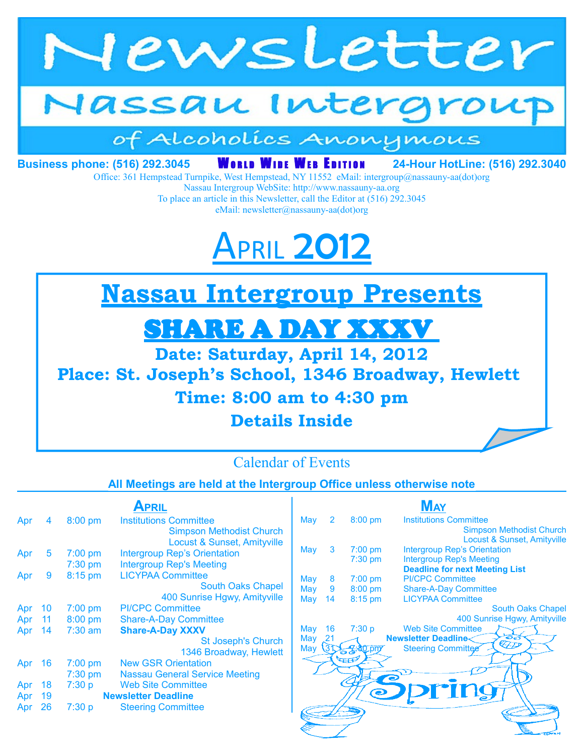

# Jassau Intergroup

## of Alcoholics Anonymous

**Business phone: (516) 292.3045 WORLD WIDE WEB EDITION 24-Hour HotLine: (516) 292.3040** 

Office: 361 Hempstead Turnpike, West Hempstead, NY 11552 eMail: intergroup@nassauny-aa(dot)org

Nassau Intergroup WebSite: http://www.nassauny-aa.org To place an article in this Newsletter, call the Editor at (516) 292.3045 eMail: newsletter@nassauny-aa(dot)org

# **PRIL 201**

**Nassau Intergroup Presents**

## SHARE A DAY XXXV

**Date: Saturday, April 14, 2012**

**Place: St. Joseph's School, 1346 Broadway, Hewlett** 

## **Time: 8:00 am to 4:30 pm**

**Details Inside**



#### **All Meetings are held at the Intergroup Office unless otherwise note**

|     |        |           | APRIL                                 |
|-----|--------|-----------|---------------------------------------|
| Apr | 4      | $8:00$ pm | <b>Institutions Committee</b>         |
|     |        |           | <b>Simpson Methodist Church</b>       |
|     |        |           | Locust & Sunset, Amityville           |
| Apr | 5      | $7:00$ pm | <b>Intergroup Rep's Orientation</b>   |
|     |        | 7:30 pm   | <b>Intergroup Rep's Meeting</b>       |
| Apr | 9      | 8:15 pm   | <b>LICYPAA Committee</b>              |
|     |        |           | <b>South Oaks Chapel</b>              |
|     |        |           | 400 Sunrise Hgwy, Amityville          |
| Apr | 10     | $7:00$ pm | <b>PI/CPC Committee</b>               |
|     | Apr 11 | 8:00 pm   | <b>Share-A-Day Committee</b>          |
| Apr | 14     | $7:30$ am | <b>Share-A-Day XXXV</b>               |
|     |        |           | <b>St Joseph's Church</b>             |
|     |        |           | 1346 Broadway, Hewlett                |
| Apr | 16     | $7:00$ pm | <b>New GSR Orientation</b>            |
|     |        | $7:30$ pm | <b>Nassau General Service Meeting</b> |
| Apr | 18     | 7:30 p    | <b>Web Site Committee</b>             |
| Apr | 19     |           | <b>Newsletter Deadline</b>            |
| Apr | 26     | 7:30 p    | <b>Steering Committee</b>             |
|     |        |           |                                       |

|     |                |                   | MAY                                   |
|-----|----------------|-------------------|---------------------------------------|
| May | $\overline{2}$ | $8:00$ pm         | <b>Institutions Committee</b>         |
|     |                |                   | <b>Simpson Methodist Church</b>       |
|     |                |                   | Locust & Sunset, Amityville           |
| May | 3              | $7:00$ pm         | <b>Intergroup Rep's Orientation</b>   |
|     |                | $7:30$ pm         | <b>Intergroup Rep's Meeting</b>       |
|     |                |                   | <b>Deadline for next Meeting List</b> |
| May | 8              | $7:00$ pm         | <b>PI/CPC Committee</b>               |
| May | 9              | $8:00$ pm         | <b>Share-A-Day Committee</b>          |
| May | 14             | $8:15$ pm         | <b>LICYPAA Committee</b>              |
|     |                |                   | <b>South Oaks Chapel</b>              |
|     |                |                   | 400 Sunrise Hgwy, Amityville          |
| May | 16             | 7:30 p            | <b>Web Site Committee</b>             |
| May | 21             |                   | <b>Newsletter Deadline&lt;</b><br>    |
| May |                | 50.0 <sub>W</sub> | <b>Steering Committee</b>             |
|     |                |                   |                                       |
|     |                |                   |                                       |
|     |                |                   |                                       |
|     |                | $\bullet$         | TIT                                   |
|     |                |                   |                                       |
|     |                |                   |                                       |
|     |                |                   |                                       |
|     |                |                   |                                       |
|     |                |                   |                                       |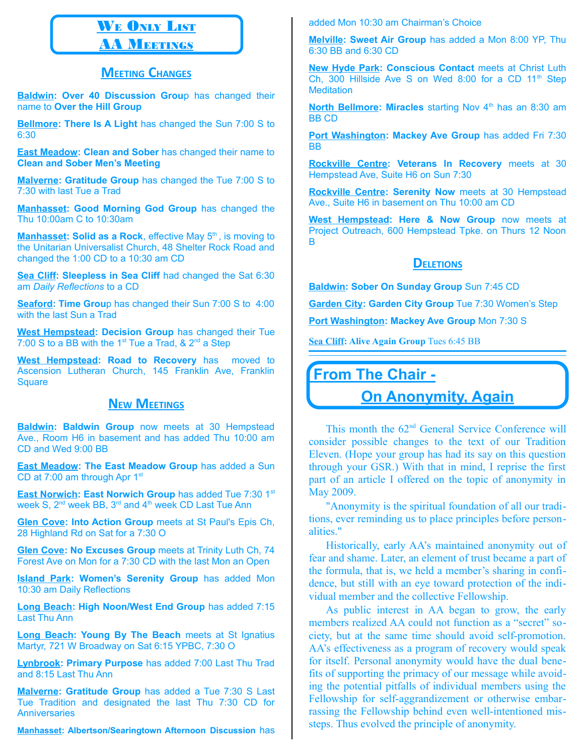## WE ONLY LIST

#### **AA MEETINGS**

#### **MEETING CHANGES**

**Baldwin: Over 40 Discussion Grou**p has changed their name to **Over the Hill Group**

**Bellmore: There Is A Light** has changed the Sun 7:00 S to 6:30

**East Meadow: Clean and Sober** has changed their name to **Clean and Sober Men's Meeting**

**Malverne: Gratitude Group** has changed the Tue 7:00 S to 7:30 with last Tue a Trad

**Manhasset: Good Morning God Group** has changed the Thu 10:00am C to 10:30am

**Manhasset: Solid as a Rock**, effective May 5<sup>th</sup>, is moving to the Unitarian Universalist Church, 48 Shelter Rock Road and changed the 1:00 CD to a 10:30 am CD

**Sea Cliff: Sleepless in Sea Cliff** had changed the Sat 6:30 am *Daily Reflections* to a CD

**Seaford: Time Grou**p has changed their Sun 7:00 S to 4:00 with the last Sun a Trad

**West Hempstead: Decision Group** has changed their Tue 7:00 S to a BB with the 1<sup>st</sup> Tue a Trad,  $\&$  2<sup>nd</sup> a Step

**West Hempstead: Road to Recovery** has moved to Ascension Lutheran Church, 145 Franklin Ave, Franklin **Square** 

#### **NEW MEETINGS**

**Baldwin: Baldwin Group** now meets at 30 Hempstead Ave., Room H6 in basement and has added Thu 10:00 am CD and Wed 9:00 BB

**East Meadow: The East Meadow Group** has added a Sun CD at 7:00 am through Apr 1<sup>st</sup>

**East Norwich: East Norwich Group** has added Tue 7:30 1<sup>st</sup> week S,  $2^{nd}$  week BB,  $3^{rd}$  and  $4^{th}$  week CD Last Tue Ann

**Glen Cove: Into Action Group** meets at St Paul's Epis Ch, 28 Highland Rd on Sat for a 7:30 O

**Glen Cove: No Excuses Group** meets at Trinity Luth Ch, 74 Forest Ave on Mon for a 7:30 CD with the last Mon an Open

**Island Park: Women's Serenity Group** has added Mon 10:30 am Daily Reflections

**Long Beach: High Noon/West End Group** has added 7:15 Last Thu Ann

**Long Beach: Young By The Beach** meets at St Ignatius Martyr, 721 W Broadway on Sat 6:15 YPBC, 7:30 O

**Lynbrook: Primary Purpose** has added 7:00 Last Thu Trad and 8:15 Last Thu Ann

**Malverne: Gratitude Group** has added a Tue 7:30 S Last Tue Tradition and designated the last Thu 7:30 CD for **Anniversaries** 

**Manhasset: Albertson/Searingtown Afternoon Discussion** has

added Mon 10:30 am Chairman's Choice

**Melville: Sweet Air Group** has added a Mon 8:00 YP, Thu 6:30 BB and 6:30 CD

**New Hyde Park: Conscious Contact** meets at Christ Luth Ch,  $300$  Hillside Ave S on Wed 8:00 for a CD  $11<sup>th</sup>$  Step **Meditation** 

**North Bellmore: Miracles** starting Nov 4<sup>th</sup> has an 8:30 am BB CD

**Port Washington: Mackey Ave Group** has added Fri 7:30 BB

**Rockville Centre: Veterans In Recovery** meets at 30 Hempstead Ave, Suite H6 on Sun 7:30

**Rockville Centre: Serenity Now** meets at 30 Hempstead Ave., Suite H6 in basement on Thu 10:00 am CD

**West Hempstead: Here & Now Group** now meets at Project Outreach, 600 Hempstead Tpke. on Thurs 12 Noon B

#### **DELETIONS**

**Baldwin: Sober On Sunday Group** Sun 7:45 CD

**Garden City: Garden City Group** Tue 7:30 Women's Step

**Port Washington: Mackey Ave Group** Mon 7:30 S

**Sea Cliff: Alive Again Group** Tues 6:45 BB

#### **From The Chair -**

#### **On Anonymity, Again**

This month the 62<sup>nd</sup> General Service Conference will consider possible changes to the text of our Tradition Eleven. (Hope your group has had its say on this question through your GSR.) With that in mind, I reprise the first part of an article I offered on the topic of anonymity in May 2009.

"Anonymity is the spiritual foundation of all our traditions, ever reminding us to place principles before personalities."

Historically, early AA's maintained anonymity out of fear and shame. Later, an element of trust became a part of the formula, that is, we held a member's sharing in confidence, but still with an eye toward protection of the individual member and the collective Fellowship.

As public interest in AA began to grow, the early members realized AA could not function as a "secret" society, but at the same time should avoid self-promotion. AA's effectiveness as a program of recovery would speak for itself. Personal anonymity would have the dual benefits of supporting the primacy of our message while avoiding the potential pitfalls of individual members using the Fellowship for self-aggrandizement or otherwise embarrassing the Fellowship behind even well-intentioned missteps. Thus evolved the principle of anonymity.